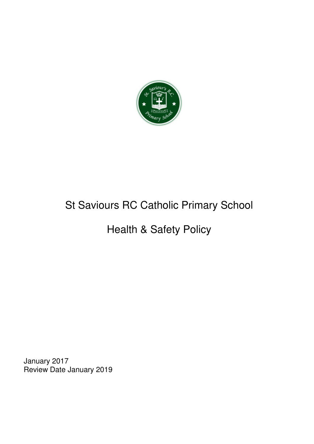

# St Saviours RC Catholic Primary School

# Health & Safety Policy

January 2017 Review Date January 2019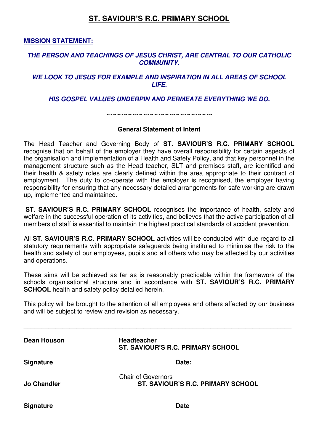# **ST. SAVIOUR'S R.C. PRIMARY SCHOOL**

**MISSION STATEMENT:** 

#### **THE PERSON AND TEACHINGS OF JESUS CHRIST, ARE CENTRAL TO OUR CATHOLIC COMMUNITY.**

#### **WE LOOK TO JESUS FOR EXAMPLE AND INSPIRATION IN ALL AREAS OF SCHOOL LIFE.**

**HIS GOSPEL VALUES UNDERPIN AND PERMEATE EVERYTHING WE DO.** 

**~~~~~~~~~~~~~~~~~~~~~~~~~~~~~** 

#### **General Statement of Intent**

The Head Teacher and Governing Body of **ST. SAVIOUR'S R.C. PRIMARY SCHOOL** recognise that on behalf of the employer they have overall responsibility for certain aspects of the organisation and implementation of a Health and Safety Policy, and that key personnel in the management structure such as the Head teacher, SLT and premises staff, are identified and their health & safety roles are clearly defined within the area appropriate to their contract of employment. The duty to co-operate with the employer is recognised, the employer having responsibility for ensuring that any necessary detailed arrangements for safe working are drawn up, implemented and maintained.

**ST. SAVIOUR'S R.C. PRIMARY SCHOOL** recognises the importance of health, safety and welfare in the successful operation of its activities, and believes that the active participation of all members of staff is essential to maintain the highest practical standards of accident prevention.

All **ST. SAVIOUR'S R.C. PRIMARY SCHOOL** activities will be conducted with due regard to all statutory requirements with appropriate safeguards being instituted to minimise the risk to the health and safety of our employees, pupils and all others who may be affected by our activities and operations.

These aims will be achieved as far as is reasonably practicable within the framework of the schools organisational structure and in accordance with **ST. SAVIOUR'S R.C. PRIMARY SCHOOL** health and safety policy detailed herein.

This policy will be brought to the attention of all employees and others affected by our business and will be subject to review and revision as necessary.

\_\_\_\_\_\_\_\_\_\_\_\_\_\_\_\_\_\_\_\_\_\_\_\_\_\_\_\_\_\_\_\_\_\_\_\_\_\_\_\_\_\_\_\_\_\_\_\_\_\_\_\_\_\_\_\_\_\_\_\_\_\_\_\_\_\_\_\_\_\_\_\_\_\_\_\_

| Dean Houson        | <b>Headteacher</b><br>ST. SAVIOUR'S R.C. PRIMARY SCHOOL        |
|--------------------|----------------------------------------------------------------|
| <b>Signature</b>   | Date:                                                          |
| <b>Jo Chandler</b> | <b>Chair of Governors</b><br>ST. SAVIOUR'S R.C. PRIMARY SCHOOL |
| <b>Signature</b>   | <b>Date</b>                                                    |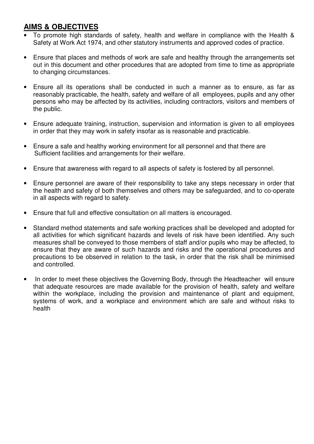# **AIMS & OBJECTIVES**

- To promote high standards of safety, health and welfare in compliance with the Health & Safety at Work Act 1974, and other statutory instruments and approved codes of practice.
- Ensure that places and methods of work are safe and healthy through the arrangements set out in this document and other procedures that are adopted from time to time as appropriate to changing circumstances.
- Ensure all its operations shall be conducted in such a manner as to ensure, as far as reasonably practicable, the health, safety and welfare of all employees, pupils and any other persons who may be affected by its activities, including contractors, visitors and members of the public.
- Ensure adequate training, instruction, supervision and information is given to all employees in order that they may work in safety insofar as is reasonable and practicable.
- Ensure a safe and healthy working environment for all personnel and that there are Sufficient facilities and arrangements for their welfare.
- Ensure that awareness with regard to all aspects of safety is fostered by all personnel.
- Ensure personnel are aware of their responsibility to take any steps necessary in order that the health and safety of both themselves and others may be safeguarded, and to co-operate in all aspects with regard to safety.
- Ensure that full and effective consultation on all matters is encouraged.
- Standard method statements and safe working practices shall be developed and adopted for all activities for which significant hazards and levels of risk have been identified. Any such measures shall be conveyed to those members of staff and/or pupils who may be affected, to ensure that they are aware of such hazards and risks and the operational procedures and precautions to be observed in relation to the task, in order that the risk shall be minimised and controlled.
- In order to meet these objectives the Governing Body, through the Headteacher will ensure that adequate resources are made available for the provision of health, safety and welfare within the workplace, including the provision and maintenance of plant and equipment, systems of work, and a workplace and environment which are safe and without risks to health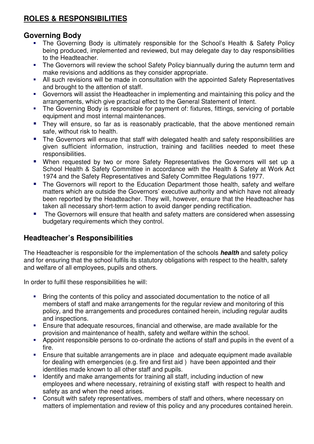# **ROLES & RESPONSIBILITIES**

# **Governing Body**

- The Governing Body is ultimately responsible for the School's Health & Safety Policy being produced, implemented and reviewed, but may delegate day to day responsibilities to the Headteacher.
- The Governors will review the school Safety Policy biannually during the autumn term and make revisions and additions as they consider appropriate.
- All such revisions will be made in consultation with the appointed Safety Representatives and brought to the attention of staff.
- Governors will assist the Headteacher in implementing and maintaining this policy and the arrangements, which give practical effect to the General Statement of Intent.
- The Governing Body is responsible for payment of: fixtures, fittings, servicing of portable equipment and most internal maintenances.
- **They will ensure, so far as is reasonably practicable, that the above mentioned remain** safe, without risk to health.
- **The Governors will ensure that staff with delegated health and safety responsibilities are** given sufficient information, instruction, training and facilities needed to meet these responsibilities.
- **When requested by two or more Safety Representatives the Governors will set up a** School Health & Safety Committee in accordance with the Health & Safety at Work Act 1974 and the Safety Representatives and Safety Committee Regulations 1977.
- The Governors will report to the Education Department those health, safety and welfare matters which are outside the Governors' executive authority and which have not already been reported by the Headteacher. They will, however, ensure that the Headteacher has taken all necessary short-term action to avoid danger pending rectification.
- **The Governors will ensure that health and safety matters are considered when assessing** budgetary requirements which they control.

# **Headteacher's Responsibilities**

The Headteacher is responsible for the implementation of the schools **health** and safety policy and for ensuring that the school fulfils its statutory obligations with respect to the health, safety and welfare of all employees, pupils and others.

In order to fulfil these responsibilities he will:

- **Bring the contents of this policy and associated documentation to the notice of all** members of staff and make arrangements for the regular review and monitoring of this policy, and the arrangements and procedures contained herein, including regular audits and inspections.
- Ensure that adequate resources, financial and otherwise, are made available for the provision and maintenance of health, safety and welfare within the school.
- Appoint responsible persons to co-ordinate the actions of staff and pupils in the event of a fire.
- Ensure that suitable arrangements are in place and adequate equipment made available for dealing with emergencies (e.g. fire and first aid ) have been appointed and their identities made known to all other staff and pupils.
- **IDENTIFY** and make arrangements for training all staff, including induction of new employees and where necessary, retraining of existing staff with respect to health and safety as and when the need arises.
- Consult with safety representatives, members of staff and others, where necessary on matters of implementation and review of this policy and any procedures contained herein.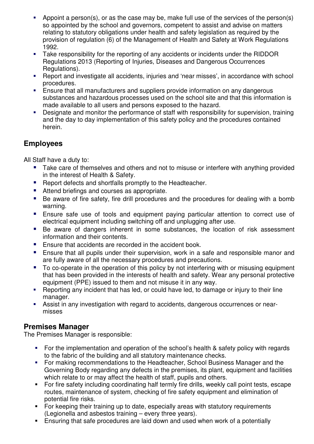- Appoint a person(s), or as the case may be, make full use of the services of the person(s) so appointed by the school and governors, competent to assist and advise on matters relating to statutory obligations under health and safety legislation as required by the provision of regulation (6) of the Management of Health and Safety at Work Regulations 1992.
- Take responsibility for the reporting of any accidents or incidents under the RIDDOR Regulations 2013 (Reporting of Injuries, Diseases and Dangerous Occurrences Regulations).
- Report and investigate all accidents, injuries and 'near misses', in accordance with school procedures.
- Ensure that all manufacturers and suppliers provide information on any dangerous substances and hazardous processes used on the school site and that this information is made available to all users and persons exposed to the hazard.
- Designate and monitor the performance of staff with responsibility for supervision, training and the day to day implementation of this safety policy and the procedures contained herein.

# **Employees**

All Staff have a duty to:

- Take care of themselves and others and not to misuse or interfere with anything provided in the interest of Health & Safety.
- **Report defects and shortfalls promptly to the Headteacher.**
- Attend briefings and courses as appropriate.
- Be aware of fire safety, fire drill procedures and the procedures for dealing with a bomb warning.
- **Ensure safe use of tools and equipment paying particular attention to correct use of** electrical equipment including switching off and unplugging after use.
- Be aware of dangers inherent in some substances, the location of risk assessment information and their contents.
- **Ensure that accidents are recorded in the accident book.**
- **Ensure that all pupils under their supervision, work in a safe and responsible manor and** are fully aware of all the necessary procedures and precautions.
- To co-operate in the operation of this policy by not interfering with or misusing equipment that has been provided in the interests of health and safety. Wear any personal protective equipment (PPE) issued to them and not misuse it in any way.
- Reporting any incident that has led, or could have led, to damage or injury to their line manager.
- Assist in any investigation with regard to accidents, dangerous occurrences or nearmisses

# **Premises Manager**

The Premises Manager is responsible:

- For the implementation and operation of the school's health & safety policy with regards to the fabric of the building and all statutory maintenance checks.
- For making recommendations to the Headteacher, School Business Manager and the Governing Body regarding any defects in the premises, its plant, equipment and facilities which relate to or may affect the health of staff, pupils and others.
- For fire safety including coordinating half termly fire drills, weekly call point tests, escape routes, maintenance of system, checking of fire safety equipment and elimination of potential fire risks.
- For keeping their training up to date, especially areas with statutory requirements (Legionella and asbestos training – every three years).
- Ensuring that safe procedures are laid down and used when work of a potentially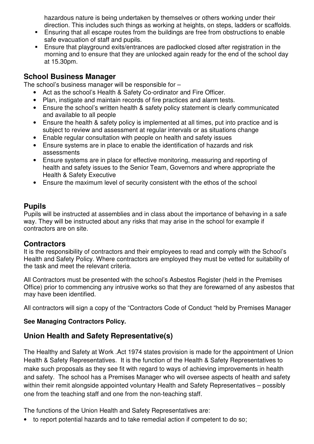hazardous nature is being undertaken by themselves or others working under their direction. This includes such things as working at heights, on steps, ladders or scaffolds.

- **Ensuring that all escape routes from the buildings are free from obstructions to enable** safe evacuation of staff and pupils.
- Ensure that playground exits/entrances are padlocked closed after registration in the morning and to ensure that they are unlocked again ready for the end of the school day at 15.30pm.

# **School Business Manager**

The school's business manager will be responsible for –

- Act as the school's Health & Safety Co-ordinator and Fire Officer.
- Plan, instigate and maintain records of fire practices and alarm tests.
- Ensure the school's written health & safety policy statement is clearly communicated and available to all people
- Ensure the health & safety policy is implemented at all times, put into practice and is subject to review and assessment at regular intervals or as situations change
- Enable regular consultation with people on health and safety issues
- Ensure systems are in place to enable the identification of hazards and risk assessments
- Ensure systems are in place for effective monitoring, measuring and reporting of health and safety issues to the Senior Team, Governors and where appropriate the Health & Safety Executive
- Ensure the maximum level of security consistent with the ethos of the school

# **Pupils**

Pupils will be instructed at assemblies and in class about the importance of behaving in a safe way. They will be instructed about any risks that may arise in the school for example if contractors are on site.

# **Contractors**

It is the responsibility of contractors and their employees to read and comply with the School's Health and Safety Policy. Where contractors are employed they must be vetted for suitability of the task and meet the relevant criteria.

All Contractors must be presented with the school's Asbestos Register (held in the Premises Office) prior to commencing any intrusive works so that they are forewarned of any asbestos that may have been identified.

All contractors will sign a copy of the "Contractors Code of Conduct "held by Premises Manager

# **See Managing Contractors Policy.**

# **Union Health and Safety Representative(s)**

The Healthy and Safety at Work .Act 1974 states provision is made for the appointment of Union Health & Safety Representatives. It is the function of the Health & Safety Representatives to make such proposals as they see fit with regard to ways of achieving improvements in health and safety. The school has a Premises Manager who will oversee aspects of health and safety within their remit alongside appointed voluntary Health and Safety Representatives – possibly one from the teaching staff and one from the non-teaching staff.

The functions of the Union Health and Safety Representatives are:

• to report potential hazards and to take remedial action if competent to do so;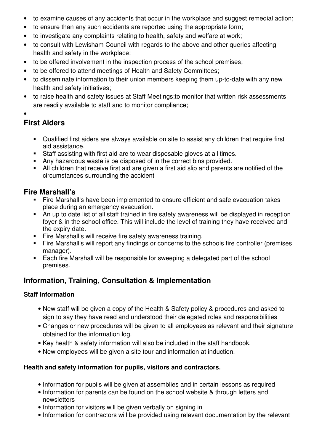- to examine causes of any accidents that occur in the workplace and suggest remedial action;
- to ensure than any such accidents are reported using the appropriate form;
- to investigate any complaints relating to health, safety and welfare at work;
- to consult with Lewisham Council with regards to the above and other queries affecting health and safety in the workplace;
- to be offered involvement in the inspection process of the school premises;
- to be offered to attend meetings of Health and Safety Committees;
- to disseminate information to their union members keeping them up-to-date with any new health and safety initiatives;
- to raise health and safety issues at Staff Meetings;to monitor that written risk assessments are readily available to staff and to monitor compliance;
- •

# **First Aiders**

- Qualified first aiders are always available on site to assist any children that require first aid assistance.
- Staff assisting with first aid are to wear disposable gloves at all times.
- Any hazardous waste is be disposed of in the correct bins provided.
- All children that receive first aid are given a first aid slip and parents are notified of the circumstances surrounding the accident

# **Fire Marshall's**

- Fire Marshall's have been implemented to ensure efficient and safe evacuation takes place during an emergency evacuation.
- An up to date list of all staff trained in fire safety awareness will be displayed in reception foyer & in the school office. This will include the level of training they have received and the expiry date.
- Fire Marshall's will receive fire safety awareness training.
- Fire Marshall's will report any findings or concerns to the schools fire controller (premises manager).
- **Each fire Marshall will be responsible for sweeping a delegated part of the school** premises.

# **Information, Training, Consultation & Implementation**

# **Staff Information**

- New staff will be given a copy of the Health & Safety policy & procedures and asked to sign to say they have read and understood their delegated roles and responsibilities
- Changes or new procedures will be given to all employees as relevant and their signature obtained for the information log.
- Key health & safety information will also be included in the staff handbook.
- New employees will be given a site tour and information at induction.

# **Health and safety information for pupils, visitors and contractors.**

- Information for pupils will be given at assemblies and in certain lessons as required
- Information for parents can be found on the school website & through letters and newsletters
- Information for visitors will be given verbally on signing in
- Information for contractors will be provided using relevant documentation by the relevant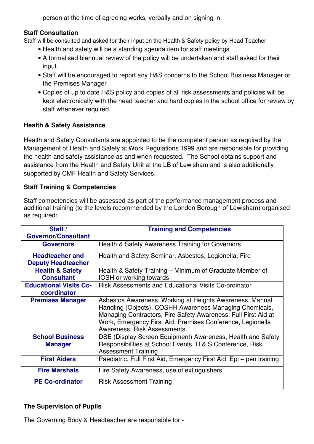person at the time of agreeing works, verbally and on signing in.

# **Staff Consultation**

Staff will be consulted and asked for their input on the Health & Safety policy by Head Teacher

- Health and safety will be a standing agenda item for staff meetings
- A formalised biannual review of the policy will be undertaken and staff asked for their input.
- Staff will be encouraged to report any H&S concerns to the School Business Manager or the Premises Manager
- Copies of up to date H&S policy and copies of all risk assessments and policies will be kept electronically with the head teacher and hard copies in the school office for review by staff whenever required.

# **Health & Safety Assistance**

Health and Safety Consultants are appointed to be the competent person as required by the Management of Health and Safety at Work Regulations 1999 and are responsible for providing the health and safety assistance as and when requested. The School obtains support and assistance from the Health and Safety Unit at the LB of Lewisham and is also additionally supported by CMF Health and Safety Services.

# **Staff Training & Competencies**

Staff competencies will be assessed as part of the performance management process and additional training (to the levels recommended by the London Borough of Lewisham) organised as required:

| Staff $/$                     |                                                                     |  |  |  |  |
|-------------------------------|---------------------------------------------------------------------|--|--|--|--|
|                               | <b>Training and Competencies</b>                                    |  |  |  |  |
| <b>Governor/Consultant</b>    |                                                                     |  |  |  |  |
| <b>Governors</b>              | Health & Safety Awareness Training for Governors                    |  |  |  |  |
|                               |                                                                     |  |  |  |  |
| <b>Headteacher and</b>        | Health and Safety Seminar, Asbestos, Legionella, Fire               |  |  |  |  |
| <b>Deputy Headteacher</b>     |                                                                     |  |  |  |  |
| <b>Health &amp; Safety</b>    | Health & Safety Training – Minimum of Graduate Member of            |  |  |  |  |
| <b>Consultant</b>             | IOSH or working towards                                             |  |  |  |  |
| <b>Educational Visits Co-</b> | Risk Assessments and Educational Visits Co-ordinator                |  |  |  |  |
| coordinator                   |                                                                     |  |  |  |  |
| <b>Premises Manager</b>       | Asbestos Awareness, Working at Heights Awareness, Manual            |  |  |  |  |
|                               | Handling (Objects), COSHH Awareness Managing Chemicals,             |  |  |  |  |
|                               | Managing Contractors, Fire Safety Awareness, Full First Aid at      |  |  |  |  |
|                               | Work, Emergency First Aid, Premises Conference, Legionella          |  |  |  |  |
|                               | Awareness, Risk Assessments.                                        |  |  |  |  |
|                               |                                                                     |  |  |  |  |
| <b>School Business</b>        | DSE (Display Screen Equipment) Awareness, Health and Safety         |  |  |  |  |
| <b>Manager</b>                | Responsibilities at School Events, H & S Conference, Risk           |  |  |  |  |
|                               | <b>Assessment Training</b>                                          |  |  |  |  |
| <b>First Aiders</b>           | Paediatric, Full First Aid, Emergency First Aid, Epi – pen training |  |  |  |  |
|                               |                                                                     |  |  |  |  |
| <b>Fire Marshals</b>          | Fire Safety Awareness, use of extinguishers                         |  |  |  |  |
| <b>PE Co-ordinator</b>        | <b>Risk Assessment Training</b>                                     |  |  |  |  |

## **The Supervision of Pupils**

The Governing Body & Headteacher are responsible for -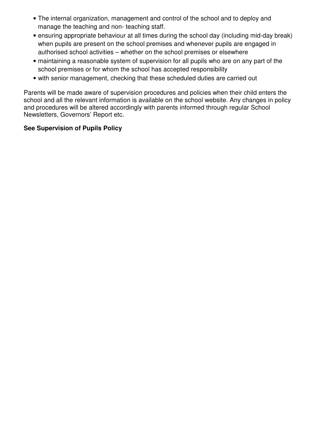- The internal organization, management and control of the school and to deploy and manage the teaching and non- teaching staff.
- ensuring appropriate behaviour at all times during the school day (including mid-day break) when pupils are present on the school premises and whenever pupils are engaged in authorised school activities – whether on the school premises or elsewhere
- maintaining a reasonable system of supervision for all pupils who are on any part of the school premises or for whom the school has accepted responsibility
- with senior management, checking that these scheduled duties are carried out

Parents will be made aware of supervision procedures and policies when their child enters the school and all the relevant information is available on the school website. Any changes in policy and procedures will be altered accordingly with parents informed through regular School Newsletters, Governors' Report etc.

# **See Supervision of Pupils Policy**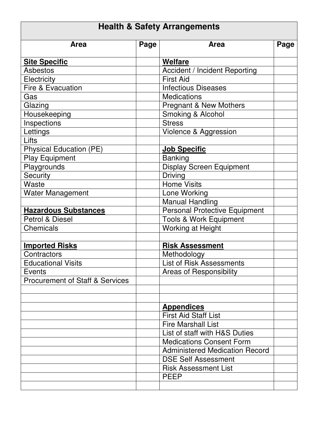| <b>Health &amp; Safety Arrangements</b>    |      |                                       |      |  |  |
|--------------------------------------------|------|---------------------------------------|------|--|--|
| <b>Area</b>                                | Page | <b>Area</b>                           | Page |  |  |
| <b>Site Specific</b>                       |      | <b>Welfare</b>                        |      |  |  |
| <b>Asbestos</b>                            |      | <b>Accident / Incident Reporting</b>  |      |  |  |
| Electricity                                |      | <b>First Aid</b>                      |      |  |  |
| Fire & Evacuation                          |      | <b>Infectious Diseases</b>            |      |  |  |
| Gas                                        |      | <b>Medications</b>                    |      |  |  |
| Glazing                                    |      | <b>Pregnant &amp; New Mothers</b>     |      |  |  |
| Housekeeping                               |      | Smoking & Alcohol                     |      |  |  |
| Inspections                                |      | <b>Stress</b>                         |      |  |  |
| Lettings                                   |      | Violence & Aggression                 |      |  |  |
| Lifts                                      |      |                                       |      |  |  |
| <b>Physical Education (PE)</b>             |      | <b>Job Specific</b>                   |      |  |  |
| <b>Play Equipment</b>                      |      | <b>Banking</b>                        |      |  |  |
| Playgrounds                                |      | <b>Display Screen Equipment</b>       |      |  |  |
| <b>Security</b>                            |      | <b>Driving</b>                        |      |  |  |
| Waste                                      |      | <b>Home Visits</b>                    |      |  |  |
| <b>Water Management</b>                    |      | Lone Working                          |      |  |  |
|                                            |      | <b>Manual Handling</b>                |      |  |  |
| <b>Hazardous Substances</b>                |      | <b>Personal Protective Equipment</b>  |      |  |  |
| Petrol & Diesel                            |      | <b>Tools &amp; Work Equipment</b>     |      |  |  |
| <b>Chemicals</b>                           |      | <b>Working at Height</b>              |      |  |  |
|                                            |      |                                       |      |  |  |
| <b>Imported Risks</b>                      |      | <b>Risk Assessment</b>                |      |  |  |
| Contractors                                |      | Methodology                           |      |  |  |
| <b>Educational Visits</b>                  |      | <b>List of Risk Assessments</b>       |      |  |  |
| Events                                     |      | Areas of Responsibility               |      |  |  |
| <b>Procurement of Staff &amp; Services</b> |      |                                       |      |  |  |
|                                            |      |                                       |      |  |  |
|                                            |      |                                       |      |  |  |
|                                            |      | <b>Appendices</b>                     |      |  |  |
|                                            |      | <b>First Aid Staff List</b>           |      |  |  |
|                                            |      | <b>Fire Marshall List</b>             |      |  |  |
|                                            |      | List of staff with H&S Duties         |      |  |  |
|                                            |      | <b>Medications Consent Form</b>       |      |  |  |
|                                            |      | <b>Administered Medication Record</b> |      |  |  |
|                                            |      | <b>DSE Self Assessment</b>            |      |  |  |
|                                            |      | <b>Risk Assessment List</b>           |      |  |  |
|                                            |      | <b>PEEP</b>                           |      |  |  |
|                                            |      |                                       |      |  |  |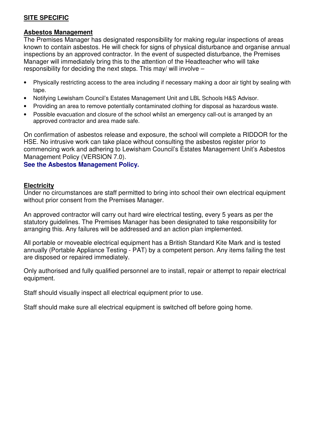# **SITE SPECIFIC**

#### **Asbestos Management**

The Premises Manager has designated responsibility for making regular inspections of areas known to contain asbestos. He will check for signs of physical disturbance and organise annual inspections by an approved contractor. In the event of suspected disturbance, the Premises Manager will immediately bring this to the attention of the Headteacher who will take responsibility for deciding the next steps. This may/ will involve –

- Physically restricting access to the area including if necessary making a door air tight by sealing with tape.
- Notifying Lewisham Council's Estates Management Unit and LBL Schools H&S Advisor.
- Providing an area to remove potentially contaminated clothing for disposal as hazardous waste.
- Possible evacuation and closure of the school whilst an emergency call-out is arranged by an approved contractor and area made safe.

On confirmation of asbestos release and exposure, the school will complete a RIDDOR for the HSE. No intrusive work can take place without consulting the asbestos register prior to commencing work and adhering to Lewisham Council's Estates Management Unit's Asbestos Management Policy (VERSION 7.0).

#### **See the Asbestos Management Policy.**

#### **Electricity**

Under no circumstances are staff permitted to bring into school their own electrical equipment without prior consent from the Premises Manager.

An approved contractor will carry out hard wire electrical testing, every 5 years as per the statutory guidelines. The Premises Manager has been designated to take responsibility for arranging this. Any failures will be addressed and an action plan implemented.

All portable or moveable electrical equipment has a British Standard Kite Mark and is tested annually (Portable Appliance Testing - PAT) by a competent person. Any items failing the test are disposed or repaired immediately.

Only authorised and fully qualified personnel are to install, repair or attempt to repair electrical equipment.

Staff should visually inspect all electrical equipment prior to use.

Staff should make sure all electrical equipment is switched off before going home.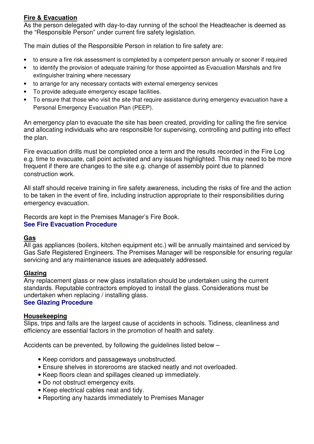# **Fire & Evacuation**

As the person delegated with day-to-day running of the school the Headteacher is deemed as the "Responsible Person" under current fire safety legislation.

The main duties of the Responsible Person in relation to fire safety are:

- to ensure a fire risk assessment is completed by a competent person annually or sooner if required
- to identify the provision of adequate training for those appointed as Evacuation Marshals and fire extinguisher training where necessary
- to arrange for any necessary contacts with external emergency services
- To provide adequate emergency escape facilities.
- To ensure that those who visit the site that require assistance during emergency evacuation have a Personal Emergency Evacuation Plan (PEEP).

An emergency plan to evacuate the site has been created, providing for calling the fire service and allocating individuals who are responsible for supervising, controlling and putting into effect the plan.

Fire evacuation drills must be completed once a term and the results recorded in the Fire Log e.g. time to evacuate, call point activated and any issues highlighted. This may need to be more frequent if there are changes to the site e.g. change of assembly point due to planned construction work.

All staff should receive training in fire safety awareness, including the risks of fire and the action to be taken in the event of fire, including instruction appropriate to their responsibilities during emergency evacuation.

Records are kept in the Premises Manager's Fire Book. **See Fire Evacuation Procedure** 

## **Gas**

All gas appliances (boilers, kitchen equipment etc.) will be annually maintained and serviced by Gas Safe Registered Engineers. The Premises Manager will be responsible for ensuring regular servicing and any maintenance issues are adequately addressed.

## **Glazing**

Any replacement glass or new glass installation should be undertaken using the current standards. Reputable contractors employed to install the glass. Considerations must be undertaken when replacing / installing glass.

## **See Glazing Procedure**

#### **Housekeeping**

Slips, trips and falls are the largest cause of accidents in schools. Tidiness, cleanliness and efficiency are essential factors in the promotion of health and safety.

Accidents can be prevented, by following the guidelines listed below –

- Keep corridors and passageways unobstructed.
- Ensure shelves in storerooms are stacked neatly and not overloaded.
- Keep floors clean and spillages cleaned up immediately.
- Do not obstruct emergency exits.
- Keep electrical cables neat and tidy.
- Reporting any hazards immediately to Premises Manager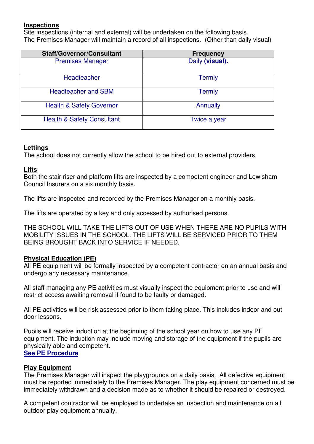## **Inspections**

Site inspections (internal and external) will be undertaken on the following basis. The Premises Manager will maintain a record of all inspections. (Other than daily visual)

| <b>Staff/Governor/Consultant</b>      | <b>Frequency</b> |  |
|---------------------------------------|------------------|--|
| <b>Premises Manager</b>               | Daily (visual).  |  |
| Headteacher                           | <b>Termly</b>    |  |
| <b>Headteacher and SBM</b>            | <b>Termly</b>    |  |
| <b>Health &amp; Safety Governor</b>   | Annually         |  |
| <b>Health &amp; Safety Consultant</b> | Twice a year     |  |

#### **Lettings**

The school does not currently allow the school to be hired out to external providers

#### **Lifts**

Both the stair riser and platform lifts are inspected by a competent engineer and Lewisham Council Insurers on a six monthly basis.

The lifts are inspected and recorded by the Premises Manager on a monthly basis.

The lifts are operated by a key and only accessed by authorised persons.

THE SCHOOL WILL TAKE THE LIFTS OUT OF USE WHEN THERE ARE NO PUPILS WITH MOBILITY ISSUES IN THE SCHOOL. THE LIFTS WILL BE SERVICED PRIOR TO THEM BEING BROUGHT BACK INTO SERVICE IF NEEDED.

#### **Physical Education (PE)**

All PE equipment will be formally inspected by a competent contractor on an annual basis and undergo any necessary maintenance.

All staff managing any PE activities must visually inspect the equipment prior to use and will restrict access awaiting removal if found to be faulty or damaged.

All PE activities will be risk assessed prior to them taking place. This includes indoor and out door lessons.

Pupils will receive induction at the beginning of the school year on how to use any PE equipment. The induction may include moving and storage of the equipment if the pupils are physically able and competent. **See PE Procedure** 

#### **Play Equipment**

The Premises Manager will inspect the playgrounds on a daily basis. All defective equipment must be reported immediately to the Premises Manager. The play equipment concerned must be immediately withdrawn and a decision made as to whether it should be repaired or destroyed.

A competent contractor will be employed to undertake an inspection and maintenance on all outdoor play equipment annually.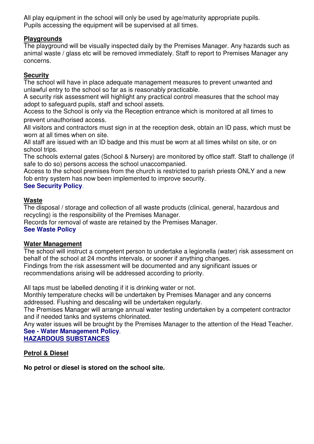All play equipment in the school will only be used by age/maturity appropriate pupils. Pupils accessing the equipment will be supervised at all times.

## **Playgrounds**

The playground will be visually inspected daily by the Premises Manager. Any hazards such as animal waste / glass etc will be removed immediately. Staff to report to Premises Manager any concerns.

## **Security**

The school will have in place adequate management measures to prevent unwanted and unlawful entry to the school so far as is reasonably practicable.

A security risk assessment will highlight any practical control measures that the school may adopt to safeguard pupils, staff and school assets.

Access to the School is only via the Reception entrance which is monitored at all times to prevent unauthorised access.

All visitors and contractors must sign in at the reception desk, obtain an ID pass, which must be worn at all times when on site.

All staff are issued with an ID badge and this must be worn at all times whilst on site, or on school trips.

The schools external gates (School & Nursery) are monitored by office staff. Staff to challenge (if safe to do so) persons access the school unaccompanied.

Access to the school premises from the church is restricted to parish priests ONLY and a new fob entry system has now been implemented to improve security.

# **See Security Policy**.

# **Waste**

The disposal / storage and collection of all waste products (clinical, general, hazardous and recycling) is the responsibility of the Premises Manager.

Records for removal of waste are retained by the Premises Manager.

## **See Waste Policy**

## **Water Management**

The school will instruct a competent person to undertake a legionella (water) risk assessment on behalf of the school at 24 months intervals, or sooner if anything changes.

Findings from the risk assessment will be documented and any significant issues or recommendations arising will be addressed according to priority.

All taps must be labelled denoting if it is drinking water or not.

Monthly temperature checks will be undertaken by Premises Manager and any concerns addressed. Flushing and descaling will be undertaken regularly.

The Premises Manager will arrange annual water testing undertaken by a competent contractor and if needed tanks and systems chlorinated.

Any water issues will be brought by the Premises Manager to the attention of the Head Teacher. **See - Water Management Policy**.

## **HAZARDOUS SUBSTANCES**

**Petrol & Diesel** 

**No petrol or diesel is stored on the school site.**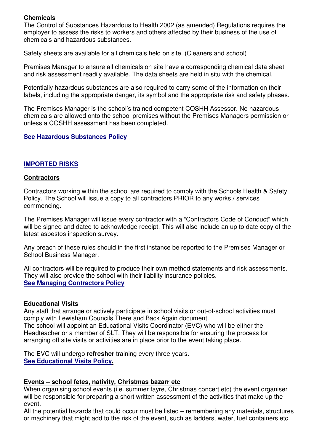# **Chemicals**

The Control of Substances Hazardous to Health 2002 (as amended) Regulations requires the employer to assess the risks to workers and others affected by their business of the use of chemicals and hazardous substances.

Safety sheets are available for all chemicals held on site. (Cleaners and school)

Premises Manager to ensure all chemicals on site have a corresponding chemical data sheet and risk assessment readily available. The data sheets are held in situ with the chemical.

Potentially hazardous substances are also required to carry some of the information on their labels, including the appropriate danger, its symbol and the appropriate risk and safety phases.

The Premises Manager is the school's trained competent COSHH Assessor. No hazardous chemicals are allowed onto the school premises without the Premises Managers permission or unless a COSHH assessment has been completed.

#### **See Hazardous Substances Policy**

#### **IMPORTED RISKS**

#### **Contractors**

Contractors working within the school are required to comply with the Schools Health & Safety Policy. The School will issue a copy to all contractors PRIOR to any works / services commencing.

The Premises Manager will issue every contractor with a "Contractors Code of Conduct" which will be signed and dated to acknowledge receipt. This will also include an up to date copy of the latest asbestos inspection survey.

Any breach of these rules should in the first instance be reported to the Premises Manager or School Business Manager.

All contractors will be required to produce their own method statements and risk assessments. They will also provide the school with their liability insurance policies. **See Managing Contractors Policy** 

#### **Educational Visits**

Any staff that arrange or actively participate in school visits or out-of-school activities must comply with Lewisham Councils There and Back Again document. The school will appoint an Educational Visits Coordinator (EVC) who will be either the Headteacher or a member of SLT. They will be responsible for ensuring the process for arranging off site visits or activities are in place prior to the event taking place.

The EVC will undergo **refresher** training every three years. **See Educational Visits Policy.** 

#### **Events – school fetes, nativity, Christmas bazarr etc**

When organising school events (i.e. summer fayre, Christmas concert etc) the event organiser will be responsible for preparing a short written assessment of the activities that make up the event.

All the potential hazards that could occur must be listed – remembering any materials, structures or machinery that might add to the risk of the event, such as ladders, water, fuel containers etc.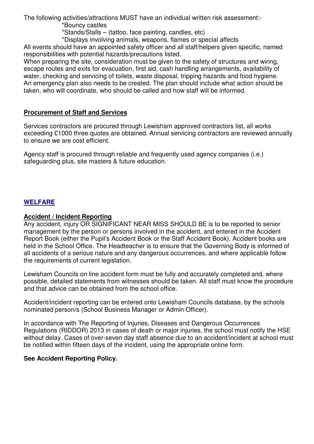The following activities/attractions MUST have an individual written risk assessment:-

\*Bouncy castles

\*Stands/Stalls – (tattoo, face painting, candles, etc)

\*Displays involving animals, weapons, flames or special affects

All events should have an appointed safety officer and all staff/helpers given specific, named responsibilities with potential hazards/precautions listed.

When preparing the site, consideration must be given to the safety of structures and wiring, escape routes and exits for evacuation, first aid, cash handling arrangements, availability of water, checking and servicing of toilets, waste disposal, tripping hazards and food hygiene. An emergency plan also needs to be created. The plan should include what action should be taken, who will coordinate, who should be called and how staff will be informed.

## **Procurement of Staff and Services**

Services contractors are procured through Lewisham approved contractors list, all works exceeding £1000 three quotes are obtained. Annual servicing contractors are reviewed annually to ensure we are cost efficient.

Agency staff is procured through reliable and frequently used agency companies (i.e.) safeguarding plus, site masters & future education.

## **WELFARE**

#### **Accident / Incident Reporting**

Any accident, injury OR SIGNIFICANT NEAR MISS SHOULD BE is to be reported to senior management by the person or persons involved in the accident, and entered in the Accident Report Book (either the Pupil's Accident Book or the Staff Accident Book). Accident books are held in the School Office. The Headteacher is to ensure that the Governing Body is informed of all accidents of a serious nature and any dangerous occurrences, and where applicable follow the requirements of current legislation.

Lewisham Councils on line accident form must be fully and accurately completed and, where possible, detailed statements from witnesses should be taken. All staff must know the procedure and that advice can be obtained from the school office.

Accident/incident reporting can be entered onto Lewisham Councils database, by the schools nominated person/s (School Business Manager or Admin Officer).

In accordance with The Reporting of Injuries, Diseases and Dangerous Occurrences Regulations (RIDDOR) 2013 in cases of death or major injuries, the school must notify the HSE without delay. Cases of over-seven day staff absence due to an accident/incident at school must be notified within fifteen days of the incident, using the appropriate online form.

#### **See Accident Reporting Policy.**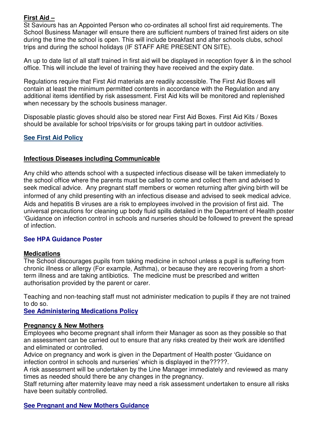# **First Aid –**

St Saviours has an Appointed Person who co-ordinates all school first aid requirements. The School Business Manager will ensure there are sufficient numbers of trained first aiders on site during the time the school is open. This will include breakfast and after schools clubs, school trips and during the school holidays (IF STAFF ARE PRESENT ON SITE).

An up to date list of all staff trained in first aid will be displayed in reception foyer & in the school office. This will include the level of training they have received and the expiry date.

Regulations require that First Aid materials are readily accessible. The First Aid Boxes will contain at least the minimum permitted contents in accordance with the Regulation and any additional items identified by risk assessment. First Aid kits will be monitored and replenished when necessary by the schools business manager.

Disposable plastic gloves should also be stored near First Aid Boxes. First Aid Kits / Boxes should be available for school trips/visits or for groups taking part in outdoor activities.

## **See First Aid Policy**

#### **Infectious Diseases including Communicable**

Any child who attends school with a suspected infectious disease will be taken immediately to the school office where the parents must be called to come and collect them and advised to seek medical advice. Any pregnant staff members or women returning after giving birth will be informed of any child presenting with an infectious disease and advised to seek medical advice. Aids and hepatitis B viruses are a risk to employees involved in the provision of first aid. The universal precautions for cleaning up body fluid spills detailed in the Department of Health poster 'Guidance on infection control in schools and nurseries should be followed to prevent the spread of infection.

#### **See HPA Guidance Poster**

#### **Medications**

The School discourages pupils from taking medicine in school unless a pupil is suffering from chronic illness or allergy (For example, Asthma), or because they are recovering from a shortterm illness and are taking antibiotics. The medicine must be prescribed and written authorisation provided by the parent or carer.

Teaching and non-teaching staff must not administer medication to pupils if they are not trained to do so.

**See Administering Medications Policy** 

## **Pregnancy & New Mothers**

Employees who become pregnant shall inform their Manager as soon as they possible so that an assessment can be carried out to ensure that any risks created by their work are identified and eliminated or controlled.

Advice on pregnancy and work is given in the Department of Health poster 'Guidance on infection control in schools and nurseries' which is displayed in the?????.

A risk assessment will be undertaken by the Line Manager immediately and reviewed as many times as needed should there be any changes in the pregnancy.

Staff returning after maternity leave may need a risk assessment undertaken to ensure all risks have been suitably controlled.

**See Pregnant and New Mothers Guidance**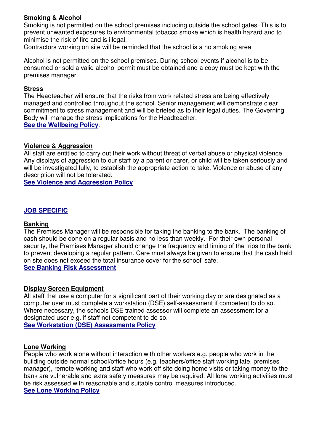## **Smoking & Alcohol**

Smoking is not permitted on the school premises including outside the school gates. This is to prevent unwanted exposures to environmental tobacco smoke which is health hazard and to minimise the risk of fire and is illegal.

Contractors working on site will be reminded that the school is a no smoking area

Alcohol is not permitted on the school premises. During school events if alcohol is to be consumed or sold a valid alcohol permit must be obtained and a copy must be kept with the premises manager.

#### **Stress**

The Headteacher will ensure that the risks from work related stress are being effectively managed and controlled throughout the school. Senior management will demonstrate clear commitment to stress management and will be briefed as to their legal duties. The Governing Body will manage the stress implications for the Headteacher.

**See the Wellbeing Policy**.

#### **Violence & Aggression**

All staff are entitled to carry out their work without threat of verbal abuse or physical violence. Any displays of aggression to our staff by a parent or carer, or child will be taken seriously and will be investigated fully, to establish the appropriate action to take. Violence or abuse of any description will not be tolerated.

**See Violence and Aggression Policy** 

#### **JOB SPECIFIC**

#### **Banking**

The Premises Manager will be responsible for taking the banking to the bank. The banking of cash should be done on a regular basis and no less than weekly. For their own personal security, the Premises Manager should change the frequency and timing of the trips to the bank to prevent developing a regular pattern. Care must always be given to ensure that the cash held on site does not exceed the total insurance cover for the school' safe.

**See Banking Risk Assessment** 

#### **Display Screen Equipment**

All staff that use a computer for a significant part of their working day or are designated as a computer user must complete a workstation (DSE) self-assessment if competent to do so. Where necessary, the schools DSE trained assessor will complete an assessment for a designated user e.g. if staff not competent to do so.

**See Workstation (DSE) Assessments Policy** 

#### **Lone Working**

People who work alone without interaction with other workers e.g. people who work in the building outside normal school/office hours (e.g. teachers/office staff working late, premises manager), remote working and staff who work off site doing home visits or taking money to the bank are vulnerable and extra safety measures may be required. All lone working activities must be risk assessed with reasonable and suitable control measures introduced. **See Lone Working Policy**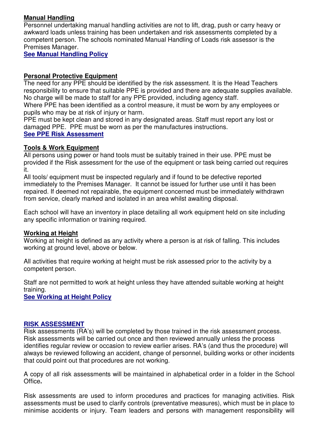## **Manual Handling**

Personnel undertaking manual handling activities are not to lift, drag, push or carry heavy or awkward loads unless training has been undertaken and risk assessments completed by a competent person. The schools nominated Manual Handling of Loads risk assessor is the Premises Manager.

**See Manual Handling Policy** 

## **Personal Protective Equipment**

The need for any PPE should be identified by the risk assessment. It is the Head Teachers responsibility to ensure that suitable PPE is provided and there are adequate supplies available. No charge will be made to staff for any PPE provided, including agency staff.

Where PPE has been identified as a control measure, it must be worn by any employees or pupils who may be at risk of injury or harm.

PPE must be kept clean and stored in any designated areas. Staff must report any lost or damaged PPE. PPE must be worn as per the manufactures instructions. **See PPE Risk Assessment** 

## **Tools & Work Equipment**

All persons using power or hand tools must be suitably trained in their use. PPE must be provided if the Risk assessment for the use of the equipment or task being carried out requires it.

All tools/ equipment must be inspected regularly and if found to be defective reported immediately to the Premises Manager. It cannot be issued for further use until it has been repaired. If deemed not repairable, the equipment concerned must be immediately withdrawn from service, clearly marked and isolated in an area whilst awaiting disposal.

Each school will have an inventory in place detailing all work equipment held on site including any specific information or training required.

## **Working at Height**

Working at height is defined as any activity where a person is at risk of falling. This includes working at ground level, above or below.

All activities that require working at height must be risk assessed prior to the activity by a competent person.

Staff are not permitted to work at height unless they have attended suitable working at height training.

**See Working at Height Policy** 

#### **RISK ASSESSMENT**

Risk assessments (RA's) will be completed by those trained in the risk assessment process. Risk assessments will be carried out once and then reviewed annually unless the process identifies regular review or occasion to review earlier arises. RA's (and thus the procedure) will always be reviewed following an accident, change of personnel, building works or other incidents that could point out that procedures are not working.

A copy of all risk assessments will be maintained in alphabetical order in a folder in the School Office**.** 

Risk assessments are used to inform procedures and practices for managing activities. Risk assessments must be used to clarify controls (preventative measures), which must be in place to minimise accidents or injury. Team leaders and persons with management responsibility will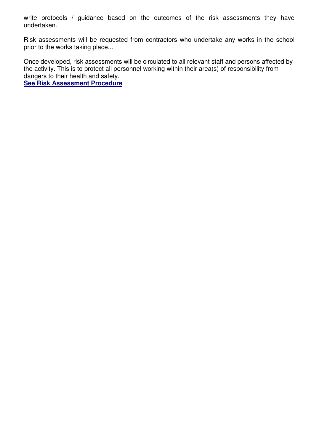write protocols / guidance based on the outcomes of the risk assessments they have undertaken.

Risk assessments will be requested from contractors who undertake any works in the school prior to the works taking place...

Once developed, risk assessments will be circulated to all relevant staff and persons affected by the activity. This is to protect all personnel working within their area(s) of responsibility from dangers to their health and safety.

**See Risk Assessment Procedure**